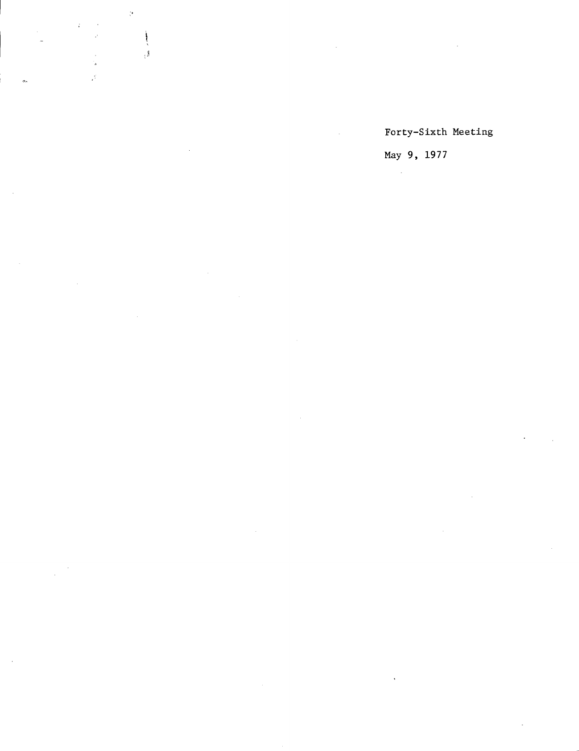$\frac{1}{2}$ 

 $\begin{matrix} \rule{0pt}{2ex} \rule{0pt}{2ex} \rule{0pt}{2ex} \rule{0pt}{2ex} \rule{0pt}{2ex} \rule{0pt}{2ex} \rule{0pt}{2ex} \rule{0pt}{2ex} \rule{0pt}{2ex} \rule{0pt}{2ex} \rule{0pt}{2ex} \rule{0pt}{2ex} \rule{0pt}{2ex} \rule{0pt}{2ex} \rule{0pt}{2ex} \rule{0pt}{2ex} \rule{0pt}{2ex} \rule{0pt}{2ex} \rule{0pt}{2ex} \rule{0pt}{2ex} \rule{0pt}{2ex} \rule{0pt}{2ex} \rule{0pt}{2ex} \rule{0pt}{2ex$  $\mathcal{A}$ 

Forty-Sixth Meeting

May 9, 1977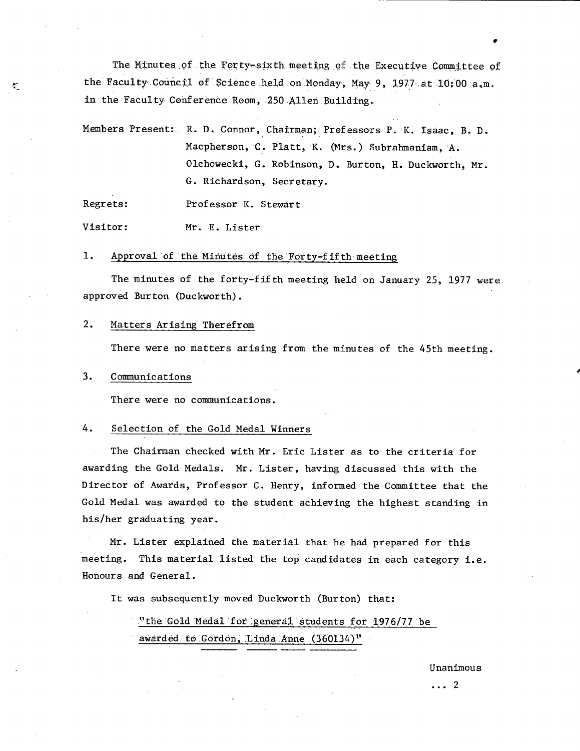The Minutes of the Forty-sixth meeting of the Executive Committee of the Faculty Council of Science held on Monday, May 9, 1977 at  $10:00$  a.m. in the Faculty Conference Room, 250 Allen Building.

Members Present: R.D. Connor, Chairman; Professors P. K. Isaac, B.D. Macpherson, C. Platt, K. (Mrs.) Subrahmaniam, A. Olchowecki, G. Robinson, D. Burton, H. Duckworth, Mr. G. Richardson, Secretary.

Regrets: Professor K. Stewart

Visitor: Mr. E. Lister

## 1. Approval of the Minutes of the Forty-fifth meeting

The minutes of the forty-fifth meeting held on January 25, 1977 were approved Burton (Duckworth).

#### $2.$ Matters Arising Therefrom

There were no matters arising from the minutes of the 45th meeting.

#### $3.$ Communications

 $\tau_{\rm m}$ 

There were no communications.

### 4. Selection of the Gold Medal Winners

The Chairman checked with Mr. Eric Lister as to the criteria for awarding the Gold Medals. Mr. Lister, having discussed this with the Director of Awards, Professor C. Henry, informed the Committee that the Gold Medal was awarded to the student achieving the highest standing in his/her graduating year.

Mr. Lister explained the material that he had prepared for this meeting. This material listed the top candidates in each category i.e. Honours and General.

It was subsequently moved Duckworth (Burton) that:

"the Gold Medal for general students for 1976/77 be awarded to Gordon, Linda Anne (360134)"

Unanimous

...2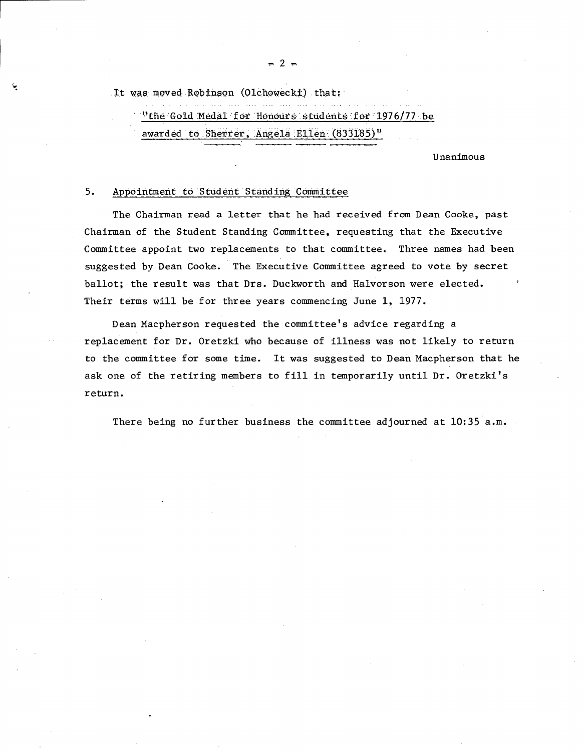$-2 -$ 

It was, moved Robinson (Olchowecki) that:

"the Gold Medal for Honours students for 1976/77 be

awarded to Sherrer, Angela Ellen (833185)"

Unanimous

## 5. Appointment to Student Standing Committee

The Chairman read a letter that he had received from Dean Cooke, past Chairman of the Student Standing Committee, requesting that the Executive Committee appoint two replacements to that committee. Three names had been suggested by Dean Cooke. The Executive Committee agreed to vote by secret ballot; the result was that Drs. Duckworth and Halvorson were elected. Their terms will be for three years commencing June 1, 1977.

Dean Macpherson requested the committee's advice regarding a replacement for Dr. Oretzki who because of illness was not likely to return to the committee for some time. It was suggested to Dean Macpherson that he ask one of the retiring members to fill in temporarily until Dr. Oretzki's return.

There being no further business the committee adjourned at 10:35 a.m.